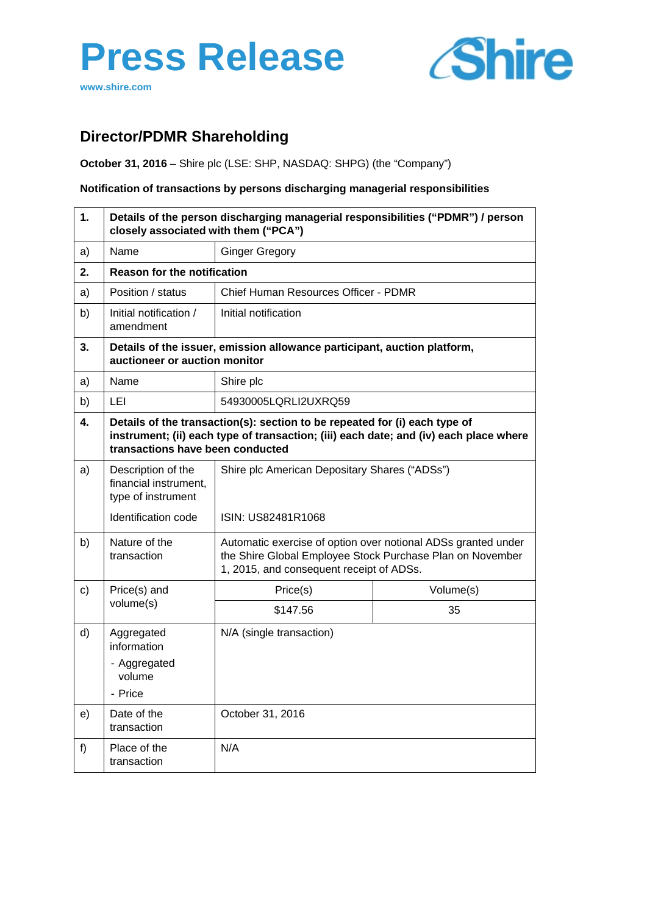# **Press Release**





## **Director/PDMR Shareholding**

**October 31, 2016** – Shire plc (LSE: SHP, NASDAQ: SHPG) (the "Company")

**Notification of transactions by persons discharging managerial responsibilities**

| 1. | Details of the person discharging managerial responsibilities ("PDMR") / person<br>closely associated with them ("PCA") |                                                                                                                                                                        |           |  |
|----|-------------------------------------------------------------------------------------------------------------------------|------------------------------------------------------------------------------------------------------------------------------------------------------------------------|-----------|--|
| a) | Name                                                                                                                    | <b>Ginger Gregory</b>                                                                                                                                                  |           |  |
| 2. | <b>Reason for the notification</b>                                                                                      |                                                                                                                                                                        |           |  |
| a) | Position / status                                                                                                       | Chief Human Resources Officer - PDMR                                                                                                                                   |           |  |
| b) | Initial notification /<br>amendment                                                                                     | Initial notification                                                                                                                                                   |           |  |
| 3. | Details of the issuer, emission allowance participant, auction platform,<br>auctioneer or auction monitor               |                                                                                                                                                                        |           |  |
| a) | Name                                                                                                                    | Shire plc                                                                                                                                                              |           |  |
| b) | LEI                                                                                                                     | 54930005LQRLI2UXRQ59                                                                                                                                                   |           |  |
| 4. | transactions have been conducted                                                                                        | Details of the transaction(s): section to be repeated for (i) each type of<br>instrument; (ii) each type of transaction; (iii) each date; and (iv) each place where    |           |  |
| a) | Description of the<br>financial instrument,<br>type of instrument                                                       | Shire plc American Depositary Shares ("ADSs")<br>ISIN: US82481R1068                                                                                                    |           |  |
|    | Identification code                                                                                                     |                                                                                                                                                                        |           |  |
| b) | Nature of the<br>transaction                                                                                            | Automatic exercise of option over notional ADSs granted under<br>the Shire Global Employee Stock Purchase Plan on November<br>1, 2015, and consequent receipt of ADSs. |           |  |
| c) | Price(s) and<br>volume(s)                                                                                               | Price(s)                                                                                                                                                               | Volume(s) |  |
|    |                                                                                                                         | \$147.56                                                                                                                                                               | 35        |  |
| d) | Aggregated<br>information<br>- Aggregated<br>volume<br>- Price                                                          | N/A (single transaction)                                                                                                                                               |           |  |
| e) | Date of the<br>transaction                                                                                              | October 31, 2016                                                                                                                                                       |           |  |
| f  | Place of the<br>transaction                                                                                             | N/A                                                                                                                                                                    |           |  |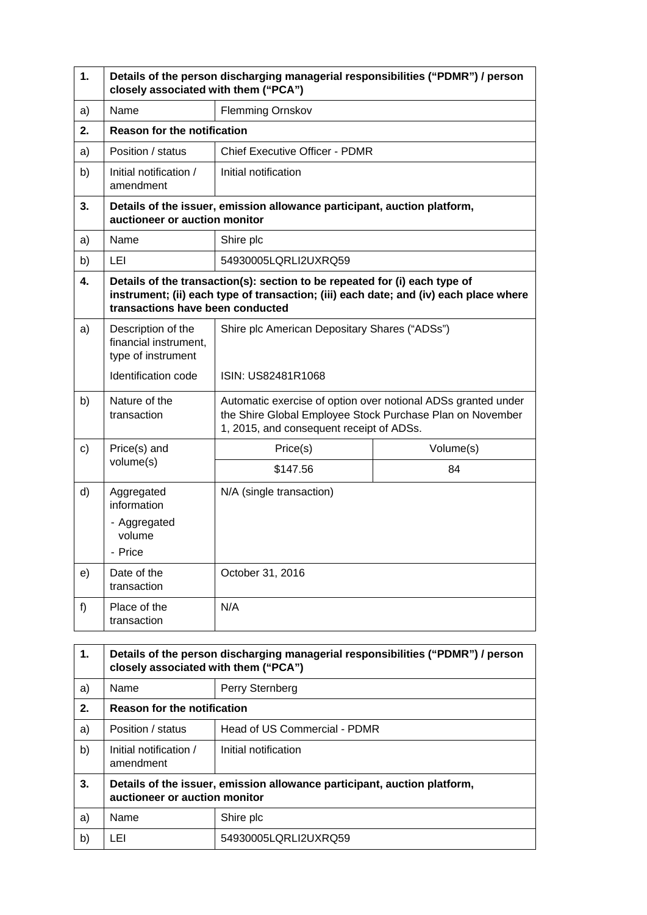| 1.           | Details of the person discharging managerial responsibilities ("PDMR") / person<br>closely associated with them ("PCA") |                                                                                                                                                                                                         |           |  |
|--------------|-------------------------------------------------------------------------------------------------------------------------|---------------------------------------------------------------------------------------------------------------------------------------------------------------------------------------------------------|-----------|--|
| a)           | Name                                                                                                                    | <b>Flemming Ornskov</b>                                                                                                                                                                                 |           |  |
| 2.           | <b>Reason for the notification</b>                                                                                      |                                                                                                                                                                                                         |           |  |
| a)           | Position / status                                                                                                       | <b>Chief Executive Officer - PDMR</b>                                                                                                                                                                   |           |  |
| b)           | Initial notification /<br>amendment                                                                                     | Initial notification                                                                                                                                                                                    |           |  |
| 3.           | Details of the issuer, emission allowance participant, auction platform,<br>auctioneer or auction monitor               |                                                                                                                                                                                                         |           |  |
| a)           | Name                                                                                                                    | Shire plc                                                                                                                                                                                               |           |  |
| b)           | LEI                                                                                                                     | 54930005LQRLI2UXRQ59                                                                                                                                                                                    |           |  |
| 4.           |                                                                                                                         | Details of the transaction(s): section to be repeated for (i) each type of<br>instrument; (ii) each type of transaction; (iii) each date; and (iv) each place where<br>transactions have been conducted |           |  |
| a)           | Description of the<br>financial instrument,<br>type of instrument                                                       | Shire plc American Depositary Shares ("ADSs")<br>ISIN: US82481R1068                                                                                                                                     |           |  |
|              | Identification code                                                                                                     |                                                                                                                                                                                                         |           |  |
| b)           | Nature of the<br>transaction                                                                                            | Automatic exercise of option over notional ADSs granted under<br>the Shire Global Employee Stock Purchase Plan on November<br>1, 2015, and consequent receipt of ADSs.                                  |           |  |
| $\mathsf{c}$ | Price(s) and<br>volume(s)                                                                                               | Price(s)                                                                                                                                                                                                | Volume(s) |  |
|              |                                                                                                                         | \$147.56                                                                                                                                                                                                | 84        |  |
| d)           | Aggregated<br>information<br>- Aggregated<br>volume<br>- Price                                                          | N/A (single transaction)                                                                                                                                                                                |           |  |
| e)           | Date of the<br>transaction                                                                                              | October 31, 2016                                                                                                                                                                                        |           |  |
| f            | Place of the<br>transaction                                                                                             | N/A                                                                                                                                                                                                     |           |  |

| 1. | Details of the person discharging managerial responsibilities ("PDMR") / person<br>closely associated with them ("PCA") |                              |  |
|----|-------------------------------------------------------------------------------------------------------------------------|------------------------------|--|
| a) | Name                                                                                                                    | Perry Sternberg              |  |
| 2. | <b>Reason for the notification</b>                                                                                      |                              |  |
| a) | Position / status                                                                                                       | Head of US Commercial - PDMR |  |
| b) | Initial notification /<br>amendment                                                                                     | Initial notification         |  |
| 3. | Details of the issuer, emission allowance participant, auction platform,<br>auctioneer or auction monitor               |                              |  |
| a) | Name                                                                                                                    | Shire plc                    |  |
| b) | LEI                                                                                                                     | 54930005LQRLI2UXRQ59         |  |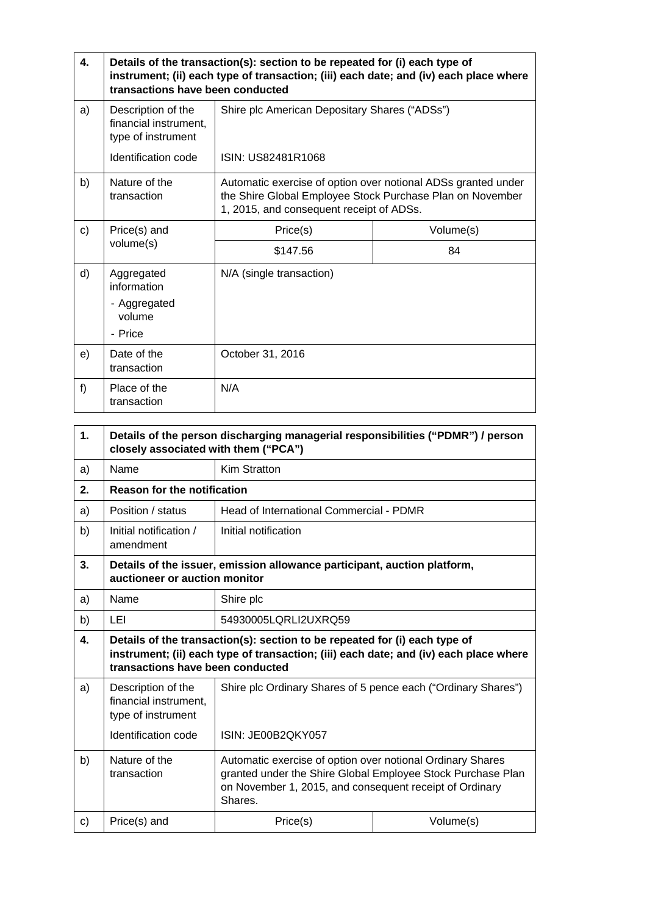| 4.    | Details of the transaction(s): section to be repeated for (i) each type of<br>instrument; (ii) each type of transaction; (iii) each date; and (iv) each place where<br>transactions have been conducted |                                                                                                                                                                        |           |
|-------|---------------------------------------------------------------------------------------------------------------------------------------------------------------------------------------------------------|------------------------------------------------------------------------------------------------------------------------------------------------------------------------|-----------|
| a)    | Description of the<br>financial instrument,<br>type of instrument<br>Identification code                                                                                                                | Shire plc American Depositary Shares ("ADSs")<br>ISIN: US82481R1068                                                                                                    |           |
| b)    | Nature of the<br>transaction                                                                                                                                                                            | Automatic exercise of option over notional ADSs granted under<br>the Shire Global Employee Stock Purchase Plan on November<br>1, 2015, and consequent receipt of ADSs. |           |
| c)    | Price(s) and<br>volume(s)                                                                                                                                                                               | Price(s)                                                                                                                                                               | Volume(s) |
|       |                                                                                                                                                                                                         | \$147.56                                                                                                                                                               | 84        |
| d)    | Aggregated<br>information<br>- Aggregated<br>volume<br>- Price                                                                                                                                          | N/A (single transaction)                                                                                                                                               |           |
| e)    | Date of the<br>transaction                                                                                                                                                                              | October 31, 2016                                                                                                                                                       |           |
| $f$ ) | Place of the<br>transaction                                                                                                                                                                             | N/A                                                                                                                                                                    |           |

| 1. | Details of the person discharging managerial responsibilities ("PDMR") / person<br>closely associated with them ("PCA")                                                                                 |                                                                                                                                  |                                                             |  |
|----|---------------------------------------------------------------------------------------------------------------------------------------------------------------------------------------------------------|----------------------------------------------------------------------------------------------------------------------------------|-------------------------------------------------------------|--|
| a) | Name                                                                                                                                                                                                    | Kim Stratton                                                                                                                     |                                                             |  |
| 2. | <b>Reason for the notification</b>                                                                                                                                                                      |                                                                                                                                  |                                                             |  |
| a) | Position / status                                                                                                                                                                                       | Head of International Commercial - PDMR                                                                                          |                                                             |  |
| b) | Initial notification /<br>amendment                                                                                                                                                                     | Initial notification                                                                                                             |                                                             |  |
| 3. | Details of the issuer, emission allowance participant, auction platform,<br>auctioneer or auction monitor                                                                                               |                                                                                                                                  |                                                             |  |
| a) | Name                                                                                                                                                                                                    | Shire plc                                                                                                                        |                                                             |  |
| b) | LEI                                                                                                                                                                                                     | 54930005LQRLI2UXRQ59                                                                                                             |                                                             |  |
| 4. | Details of the transaction(s): section to be repeated for (i) each type of<br>instrument; (ii) each type of transaction; (iii) each date; and (iv) each place where<br>transactions have been conducted |                                                                                                                                  |                                                             |  |
| a) | Description of the<br>financial instrument,                                                                                                                                                             | Shire plc Ordinary Shares of 5 pence each ("Ordinary Shares")                                                                    |                                                             |  |
|    | type of instrument                                                                                                                                                                                      |                                                                                                                                  |                                                             |  |
|    | Identification code                                                                                                                                                                                     | ISIN: JE00B2QKY057                                                                                                               |                                                             |  |
| b) | Nature of the<br>transaction                                                                                                                                                                            | Automatic exercise of option over notional Ordinary Shares<br>on November 1, 2015, and consequent receipt of Ordinary<br>Shares. | granted under the Shire Global Employee Stock Purchase Plan |  |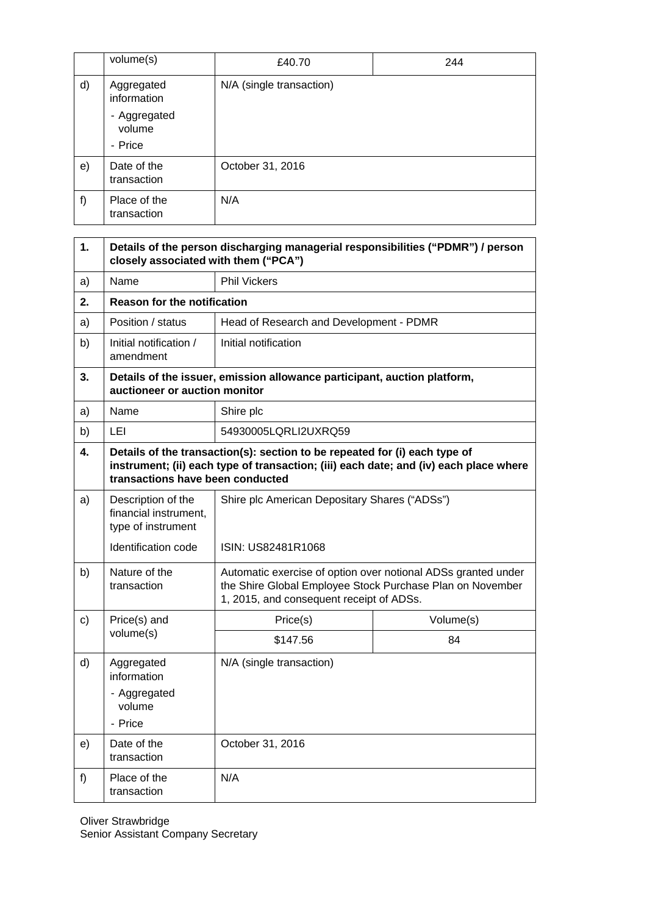|    | volume(s)                         | £40.70                   | 244 |
|----|-----------------------------------|--------------------------|-----|
| d) | Aggregated<br>information         | N/A (single transaction) |     |
|    | - Aggregated<br>volume<br>- Price |                          |     |
| e) | Date of the<br>transaction        | October 31, 2016         |     |
| f) | Place of the<br>transaction       | N/A                      |     |

| 1.            | Details of the person discharging managerial responsibilities ("PDMR") / person<br>closely associated with them ("PCA") |                                                                                                                                                                        |           |  |
|---------------|-------------------------------------------------------------------------------------------------------------------------|------------------------------------------------------------------------------------------------------------------------------------------------------------------------|-----------|--|
| a)            | Name                                                                                                                    | <b>Phil Vickers</b>                                                                                                                                                    |           |  |
| 2.            | <b>Reason for the notification</b>                                                                                      |                                                                                                                                                                        |           |  |
| a)            | Position / status                                                                                                       | Head of Research and Development - PDMR                                                                                                                                |           |  |
| b)            | Initial notification /<br>amendment                                                                                     | Initial notification                                                                                                                                                   |           |  |
| 3.            | Details of the issuer, emission allowance participant, auction platform,<br>auctioneer or auction monitor               |                                                                                                                                                                        |           |  |
| a)            | Name                                                                                                                    | Shire plc                                                                                                                                                              |           |  |
| b)            | LEI                                                                                                                     | 54930005LQRLI2UXRQ59                                                                                                                                                   |           |  |
| 4.            | transactions have been conducted                                                                                        | Details of the transaction(s): section to be repeated for (i) each type of<br>instrument; (ii) each type of transaction; (iii) each date; and (iv) each place where    |           |  |
| a)            | Description of the<br>financial instrument,<br>type of instrument                                                       | Shire plc American Depositary Shares ("ADSs")<br>ISIN: US82481R1068                                                                                                    |           |  |
|               | Identification code                                                                                                     |                                                                                                                                                                        |           |  |
| b)            | Nature of the<br>transaction                                                                                            | Automatic exercise of option over notional ADSs granted under<br>the Shire Global Employee Stock Purchase Plan on November<br>1, 2015, and consequent receipt of ADSs. |           |  |
| $\mathbf{c})$ | Price(s) and<br>volume(s)                                                                                               | Price(s)                                                                                                                                                               | Volume(s) |  |
|               |                                                                                                                         | \$147.56                                                                                                                                                               | 84        |  |
| d)            | Aggregated<br>information<br>- Aggregated<br>volume<br>- Price                                                          | N/A (single transaction)                                                                                                                                               |           |  |
| e)            | Date of the<br>transaction                                                                                              | October 31, 2016                                                                                                                                                       |           |  |
| f             | Place of the<br>transaction                                                                                             | N/A                                                                                                                                                                    |           |  |

Oliver Strawbridge Senior Assistant Company Secretary